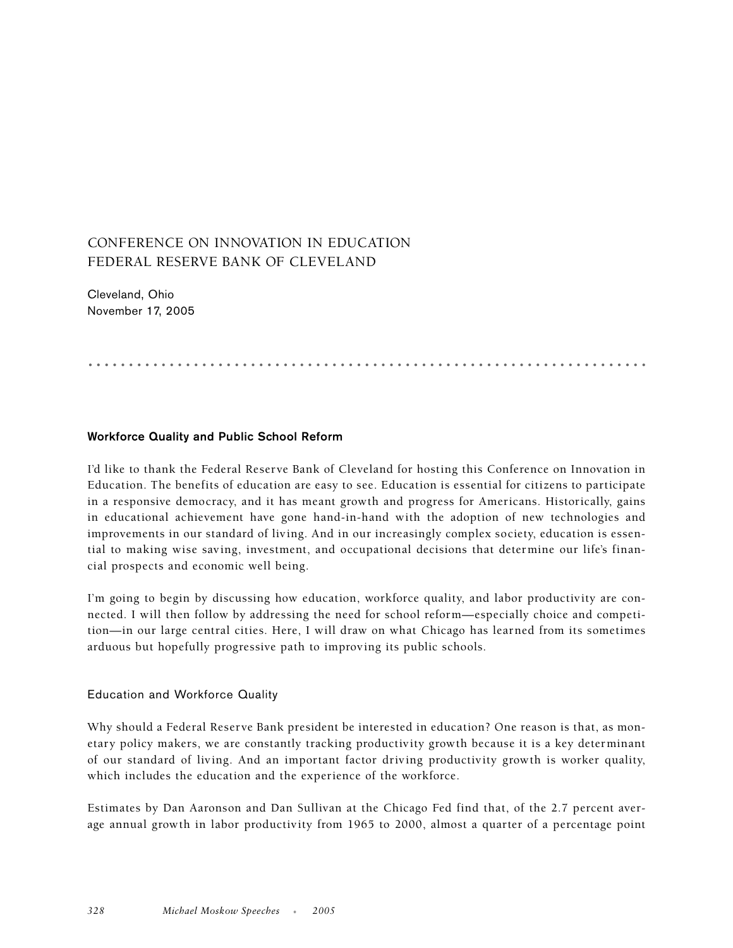# CONFERENCE ON INNOVATION IN EDUCATION FEDERAL RESERVE BANK OF CLEVELAND

Cleveland, Ohio November 17, 2005

.....................................................................

## **Workforce Quality and Public School Reform**

I'd like to thank the Federal Reserve Bank of Cleveland for hosting this Conference on Innovation in Education. The benefits of education are easy to see. Education is essential for citizens to participate in a responsive democracy, and it has meant growth and progress for Americans. Historically, gains in educational achievement have gone hand-in-hand with the adoption of new technologies and improvements in our standard of living. And in our increasingly complex society, education is essential to making wise saving, investment, and occupational decisions that determine our life's financial prospects and economic well being.

I'm going to begin by discussing how education, workforce quality, and labor productivity are connected. I will then follow by addressing the need for school reform—especially choice and competition—in our large central cities. Here, I will draw on what Chicago has learned from its sometimes arduous but hopefully progressive path to improving its public schools.

## Education and Workforce Quality

Why should a Federal Reserve Bank president be interested in education? One reason is that, as monetary policy makers, we are constantly tracking productivity growth because it is a key determinant of our standard of living. And an important factor driving productivity growth is worker quality, which includes the education and the experience of the workforce.

Estimates by Dan Aaronson and Dan Sullivan at the Chicago Fed find that, of the 2.7 percent average annual growth in labor productivity from 1965 to 2000, almost a quarter of a percentage point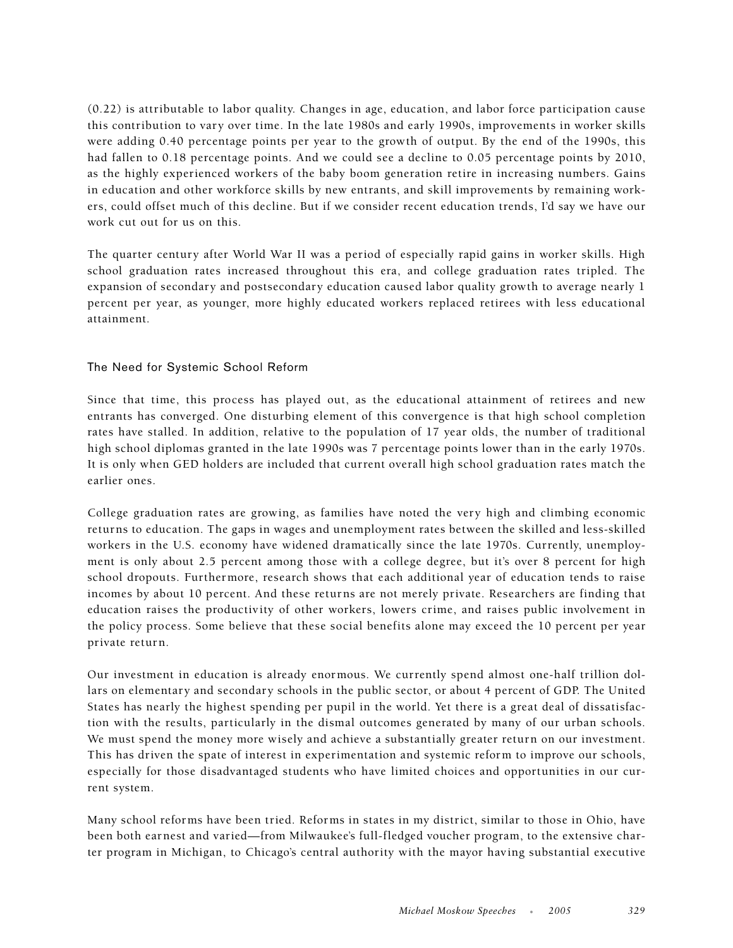(0.22) is attributable to labor quality. Changes in age, education, and labor force participation cause this contribution to vary over time. In the late 1980s and early 1990s, improvements in worker skills were adding 0.40 percentage points per year to the growth of output. By the end of the 1990s, this had fallen to 0.18 percentage points. And we could see a decline to 0.05 percentage points by 2010, as the highly experienced workers of the baby boom generation retire in increasing numbers. Gains in education and other workforce skills by new entrants, and skill improvements by remaining workers, could offset much of this decline. But if we consider recent education trends, I'd say we have our work cut out for us on this.

The quarter century after World War II was a period of especially rapid gains in worker skills. High school graduation rates increased throughout this era, and college graduation rates tripled. The expansion of secondary and postsecondary education caused labor quality growth to average nearly 1 percent per year, as younger, more highly educated workers replaced retirees with less educational attainment.

## The Need for Systemic School Reform

Since that time, this process has played out, as the educational attainment of retirees and new entrants has converged. One disturbing element of this convergence is that high school completion rates have stalled. In addition, relative to the population of 17 year olds, the number of traditional high school diplomas granted in the late 1990s was 7 percentage points lower than in the early 1970s. It is only when GED holders are included that current overall high school graduation rates match the earlier ones.

College graduation rates are growing, as families have noted the very high and climbing economic returns to education. The gaps in wages and unemployment rates between the skilled and less-skilled workers in the U.S. economy have widened dramatically since the late 1970s. Currently, unemployment is only about 2.5 percent among those with a college degree, but it's over 8 percent for high school dropouts. Furthermore, research shows that each additional year of education tends to raise incomes by about 10 percent. And these returns are not merely private. Researchers are finding that education raises the productivity of other workers, lowers crime, and raises public involvement in the policy process. Some believe that these social benefits alone may exceed the 10 percent per year private return.

Our investment in education is already enormous. We currently spend almost one-half trillion dollars on elementary and secondary schools in the public sector, or about 4 percent of GDP. The United States has nearly the highest spending per pupil in the world. Yet there is a great deal of dissatisfaction with the results, particularly in the dismal outcomes generated by many of our urban schools. We must spend the money more wisely and achieve a substantially greater return on our investment. This has driven the spate of interest in experimentation and systemic reform to improve our schools, especially for those disadvantaged students who have limited choices and opportunities in our current system.

Many school reforms have been tried. Reforms in states in my district, similar to those in Ohio, have been both earnest and varied—from Milwaukee's full-fledged voucher program, to the extensive charter program in Michigan, to Chicago's central authority with the mayor having substantial executive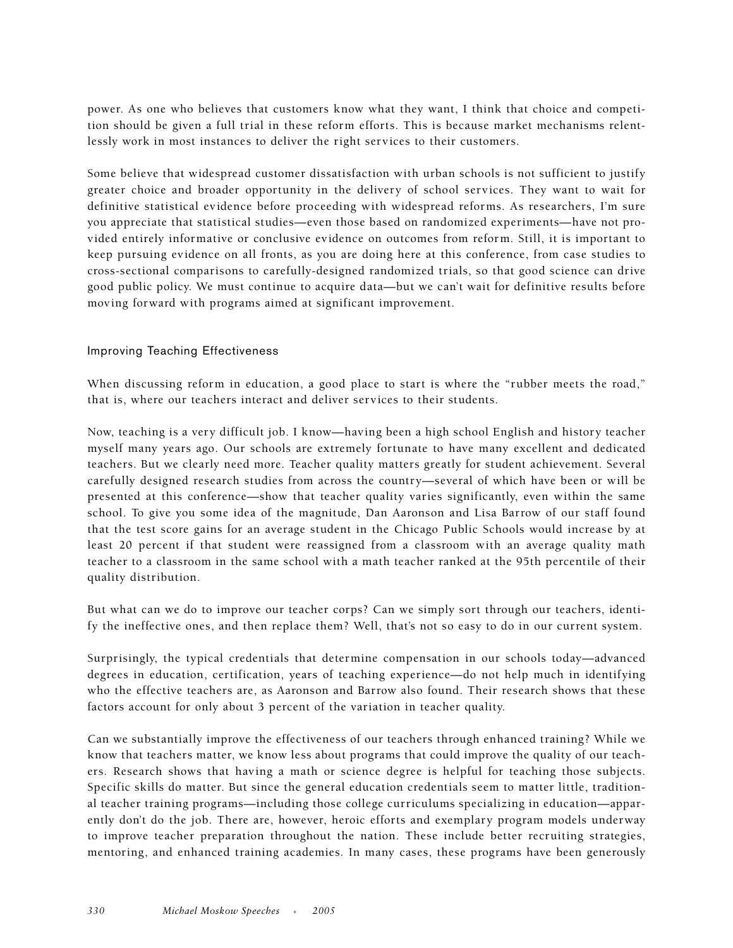power. As one who believes that customers know what they want, I think that choice and competition should be given a full trial in these reform efforts. This is because market mechanisms relentlessly work in most instances to deliver the right services to their customers.

Some believe that widespread customer dissatisfaction with urban schools is not sufficient to justify greater choice and broader opportunity in the delivery of school services. They want to wait for definitive statistical evidence before proceeding with widespread reforms. As researchers, I'm sure you appreciate that statistical studies—even those based on randomized experiments—have not provided entirely informative or conclusive evidence on outcomes from reform. Still, it is important to keep pursuing evidence on all fronts, as you are doing here at this conference, from case studies to cross-sectional comparisons to carefully-designed randomized trials, so that good science can drive good public policy. We must continue to acquire data—but we can't wait for definitive results before moving forward with programs aimed at significant improvement.

## Improving Teaching Effectiveness

When discussing reform in education, a good place to start is where the "rubber meets the road," that is, where our teachers interact and deliver services to their students.

Now, teaching is a very difficult job. I know—having been a high school English and history teacher myself many years ago. Our schools are extremely fortunate to have many excellent and dedicated teachers. But we clearly need more. Teacher quality matters greatly for student achievement. Several carefully designed research studies from across the country—several of which have been or will be presented at this conference—show that teacher quality varies significantly, even within the same school. To give you some idea of the magnitude, Dan Aaronson and Lisa Barrow of our staff found that the test score gains for an average student in the Chicago Public Schools would increase by at least 20 percent if that student were reassigned from a classroom with an average quality math teacher to a classroom in the same school with a math teacher ranked at the 95th percentile of their quality distribution.

But what can we do to improve our teacher corps? Can we simply sort through our teachers, identify the ineffective ones, and then replace them? Well, that's not so easy to do in our current system.

Surprisingly, the typical credentials that determine compensation in our schools today—advanced degrees in education, certification, years of teaching experience—do not help much in identifying who the effective teachers are, as Aaronson and Barrow also found. Their research shows that these factors account for only about 3 percent of the variation in teacher quality.

Can we substantially improve the effectiveness of our teachers through enhanced training? While we know that teachers matter, we know less about programs that could improve the quality of our teachers. Research shows that having a math or science degree is helpful for teaching those subjects. Specific skills do matter. But since the general education credentials seem to matter little, traditional teacher training programs—including those college curriculums specializing in education—apparently don't do the job. There are, however, heroic efforts and exemplary program models underway to improve teacher preparation throughout the nation. These include better recruiting strategies, mentoring, and enhanced training academies. In many cases, these programs have been generously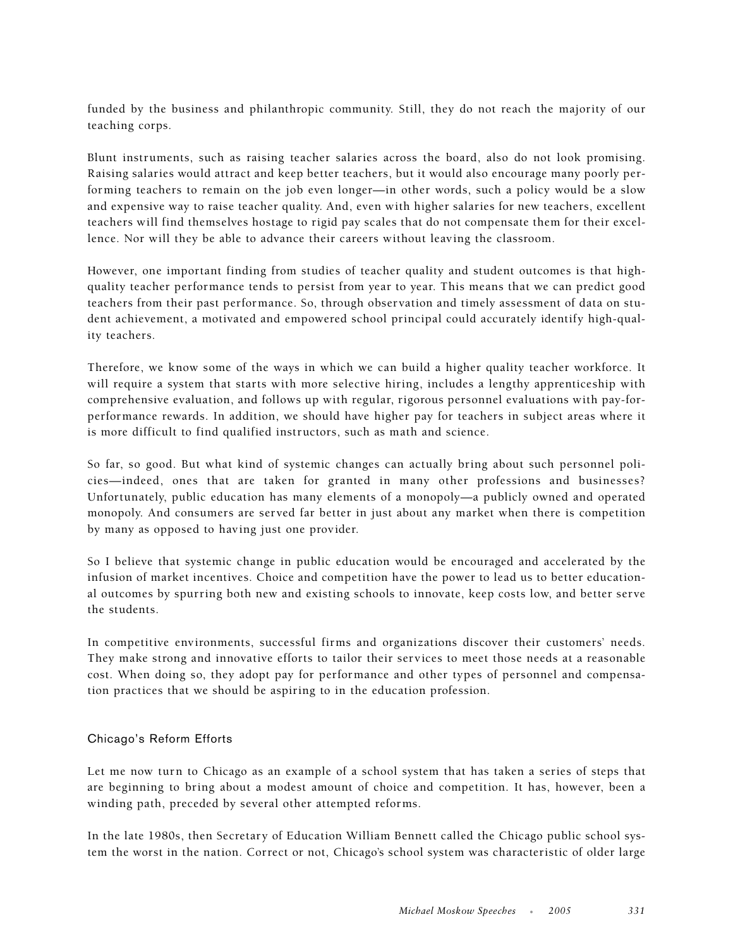funded by the business and philanthropic community. Still, they do not reach the majority of our teaching corps.

Blunt instruments, such as raising teacher salaries across the board, also do not look promising. Raising salaries would attract and keep better teachers, but it would also encourage many poorly performing teachers to remain on the job even longer—in other words, such a policy would be a slow and expensive way to raise teacher quality. And, even with higher salaries for new teachers, excellent teachers will find themselves hostage to rigid pay scales that do not compensate them for their excellence. Nor will they be able to advance their careers without leaving the classroom.

However, one important finding from studies of teacher quality and student outcomes is that highquality teacher performance tends to persist from year to year. This means that we can predict good teachers from their past performance. So, through observation and timely assessment of data on student achievement, a motivated and empowered school principal could accurately identify high-quality teachers.

Therefore, we know some of the ways in which we can build a higher quality teacher workforce. It will require a system that starts with more selective hiring, includes a lengthy apprenticeship with comprehensive evaluation, and follows up with regular, rigorous personnel evaluations with pay-forperformance rewards. In addition, we should have higher pay for teachers in subject areas where it is more difficult to find qualified instructors, such as math and science.

So far, so good. But what kind of systemic changes can actually bring about such personnel policies—indeed, ones that are taken for granted in many other professions and businesses? Unfortunately, public education has many elements of a monopoly—a publicly owned and operated monopoly. And consumers are served far better in just about any market when there is competition by many as opposed to having just one provider.

So I believe that systemic change in public education would be encouraged and accelerated by the infusion of market incentives. Choice and competition have the power to lead us to better educational outcomes by spurring both new and existing schools to innovate, keep costs low, and better serve the students.

In competitive environments, successful firms and organizations discover their customers' needs. They make strong and innovative efforts to tailor their services to meet those needs at a reasonable cost. When doing so, they adopt pay for performance and other types of personnel and compensation practices that we should be aspiring to in the education profession.

## Chicago's Reform Efforts

Let me now turn to Chicago as an example of a school system that has taken a series of steps that are beginning to bring about a modest amount of choice and competition. It has, however, been a winding path, preceded by several other attempted reforms.

In the late 1980s, then Secretary of Education William Bennett called the Chicago public school system the worst in the nation. Correct or not, Chicago's school system was characteristic of older large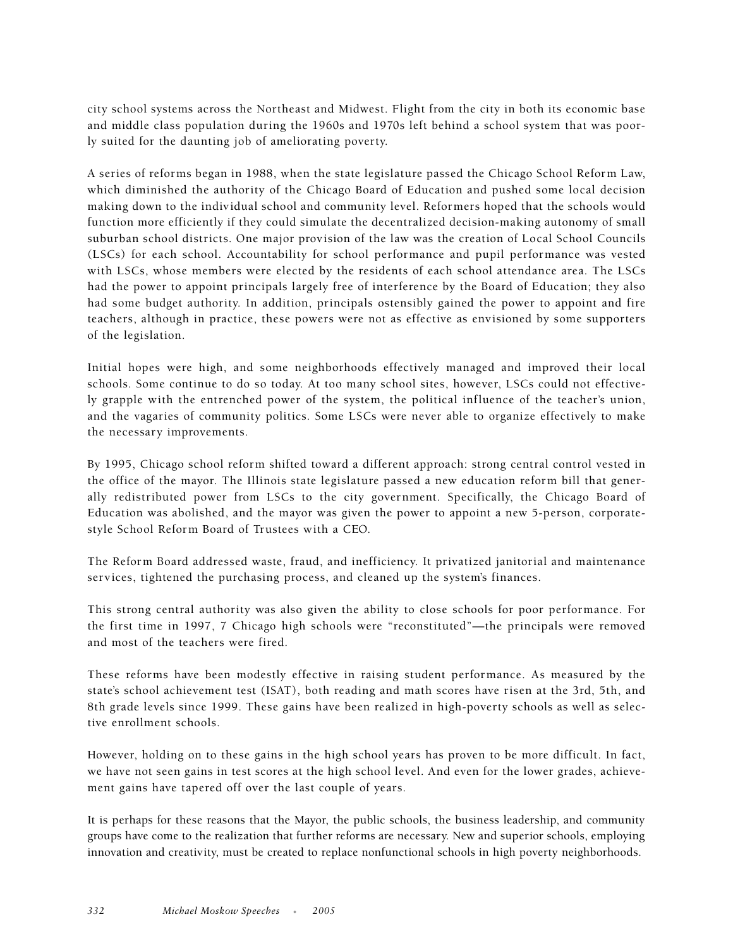city school systems across the Northeast and Midwest. Flight from the city in both its economic base and middle class population during the 1960s and 1970s left behind a school system that was poorly suited for the daunting job of ameliorating poverty.

A series of reforms began in 1988, when the state legislature passed the Chicago School Reform Law, which diminished the authority of the Chicago Board of Education and pushed some local decision making down to the individual school and community level. Reformers hoped that the schools would function more efficiently if they could simulate the decentralized decision-making autonomy of small suburban school districts. One major provision of the law was the creation of Local School Councils (LSCs) for each school. Accountability for school performance and pupil performance was vested with LSCs, whose members were elected by the residents of each school attendance area. The LSCs had the power to appoint principals largely free of interference by the Board of Education; they also had some budget authority. In addition, principals ostensibly gained the power to appoint and fire teachers, although in practice, these powers were not as effective as envisioned by some supporters of the legislation.

Initial hopes were high, and some neighborhoods effectively managed and improved their local schools. Some continue to do so today. At too many school sites, however, LSCs could not effectively grapple with the entrenched power of the system, the political influence of the teacher's union, and the vagaries of community politics. Some LSCs were never able to organize effectively to make the necessary improvements.

By 1995, Chicago school reform shifted toward a different approach: strong central control vested in the office of the mayor. The Illinois state legislature passed a new education reform bill that generally redistributed power from LSCs to the city government. Specifically, the Chicago Board of Education was abolished, and the mayor was given the power to appoint a new 5-person, corporatestyle School Reform Board of Trustees with a CEO.

The Reform Board addressed waste, fraud, and inefficiency. It privatized janitorial and maintenance services, tightened the purchasing process, and cleaned up the system's finances.

This strong central authority was also given the ability to close schools for poor performance. For the first time in 1997, 7 Chicago high schools were "reconstituted"—the principals were removed and most of the teachers were fired.

These reforms have been modestly effective in raising student performance. As measured by the state's school achievement test (ISAT), both reading and math scores have risen at the 3rd, 5th, and 8th grade levels since 1999. These gains have been realized in high-poverty schools as well as selective enrollment schools.

However, holding on to these gains in the high school years has proven to be more difficult. In fact, we have not seen gains in test scores at the high school level. And even for the lower grades, achievement gains have tapered off over the last couple of years.

It is perhaps for these reasons that the Mayor, the public schools, the business leadership, and community groups have come to the realization that further reforms are necessary. New and superior schools, employing innovation and creativity, must be created to replace nonfunctional schools in high poverty neighborhoods.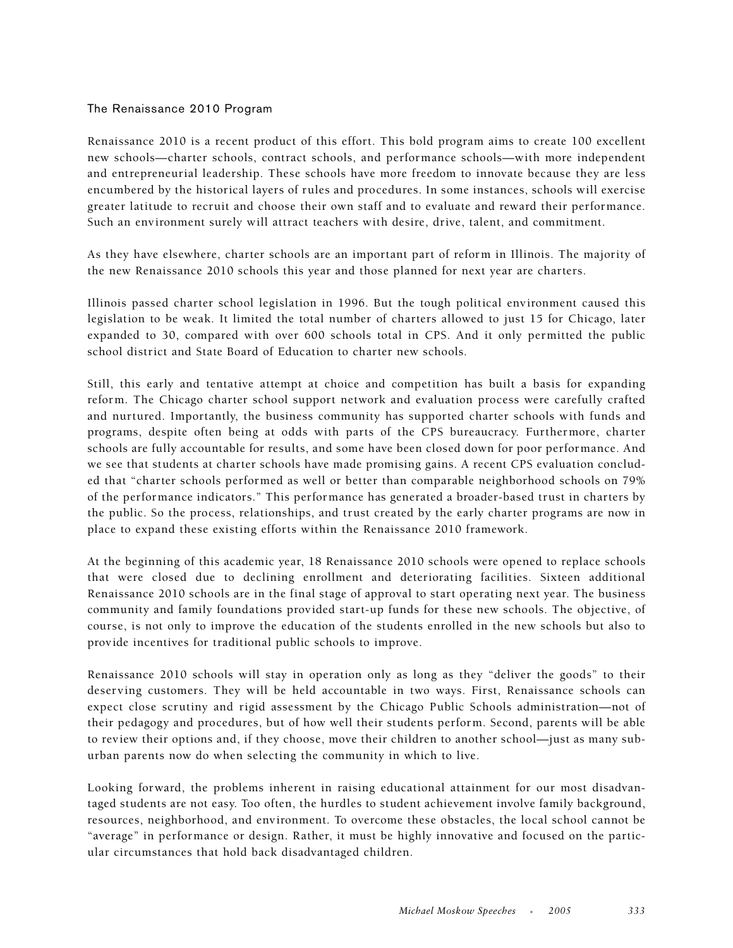## The Renaissance 2010 Program

Renaissance 2010 is a recent product of this effort. This bold program aims to create 100 excellent new schools—charter schools, contract schools, and performance schools—with more independent and entrepreneurial leadership. These schools have more freedom to innovate because they are less encumbered by the historical layers of rules and procedures. In some instances, schools will exercise greater latitude to recruit and choose their own staff and to evaluate and reward their performance. Such an environment surely will attract teachers with desire, drive, talent, and commitment.

As they have elsewhere, charter schools are an important part of reform in Illinois. The majority of the new Renaissance 2010 schools this year and those planned for next year are charters.

Illinois passed charter school legislation in 1996. But the tough political environment caused this legislation to be weak. It limited the total number of charters allowed to just 15 for Chicago, later expanded to 30, compared with over 600 schools total in CPS. And it only permitted the public school district and State Board of Education to charter new schools.

Still, this early and tentative attempt at choice and competition has built a basis for expanding reform. The Chicago charter school support network and evaluation process were carefully crafted and nurtured. Importantly, the business community has supported charter schools with funds and programs, despite often being at odds with parts of the CPS bureaucracy. Furthermore, charter schools are fully accountable for results, and some have been closed down for poor performance. And we see that students at charter schools have made promising gains. A recent CPS evaluation concluded that "charter schools performed as well or better than comparable neighborhood schools on 79% of the performance indicators." This performance has generated a broader-based trust in charters by the public. So the process, relationships, and trust created by the early charter programs are now in place to expand these existing efforts within the Renaissance 2010 framework.

At the beginning of this academic year, 18 Renaissance 2010 schools were opened to replace schools that were closed due to declining enrollment and deteriorating facilities. Sixteen additional Renaissance 2010 schools are in the final stage of approval to start operating next year. The business community and family foundations provided start-up funds for these new schools. The objective, of course, is not only to improve the education of the students enrolled in the new schools but also to provide incentives for traditional public schools to improve.

Renaissance 2010 schools will stay in operation only as long as they "deliver the goods" to their deserving customers. They will be held accountable in two ways. First, Renaissance schools can expect close scrutiny and rigid assessment by the Chicago Public Schools administration—not of their pedagogy and procedures, but of how well their students perform. Second, parents will be able to review their options and, if they choose, move their children to another school—just as many suburban parents now do when selecting the community in which to live.

Looking forward, the problems inherent in raising educational attainment for our most disadvantaged students are not easy. Too often, the hurdles to student achievement involve family background, resources, neighborhood, and environment. To overcome these obstacles, the local school cannot be "average" in performance or design. Rather, it must be highly innovative and focused on the particular circumstances that hold back disadvantaged children.